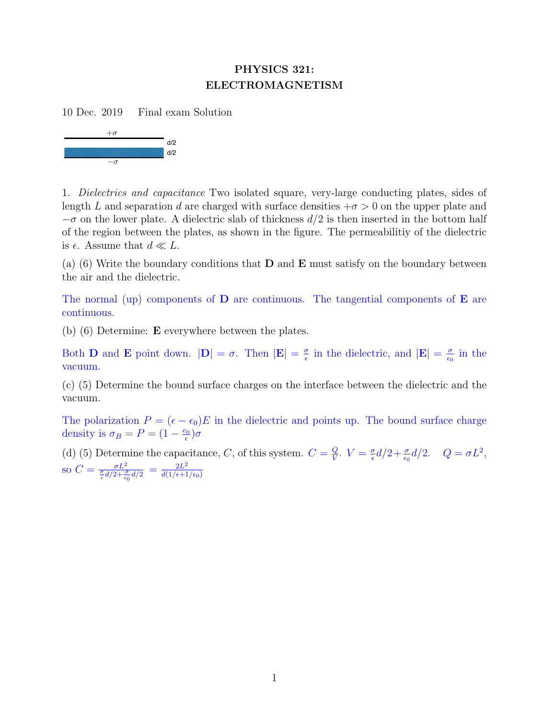## PHYSICS 321: ELECTROMAGNETISM

10 Dec. 2019 Final exam Solution



1. Dielectrics and capacitance Two isolated square, very-large conducting plates, sides of length L and separation d are charged with surface densities  $+\sigma > 0$  on the upper plate and  $-\sigma$  on the lower plate. A dielectric slab of thickness  $d/2$  is then inserted in the bottom half of the region between the plates, as shown in the figure. The permeabilitiy of the dielectric is  $\epsilon$ . Assume that  $d \ll L$ .

(a) (6) Write the boundary conditions that  **and**  $**E**$  **must satisfy on the boundary between** the air and the dielectric.

The normal (up) components of  **are continuous. The tangential components of**  $**E**$  **are** continuous.

(b) (6) Determine: E everywhere between the plates.

Both **D** and **E** point down.  $|\mathbf{D}| = \sigma$ . Then  $|\mathbf{E}| = \frac{\sigma}{\epsilon}$  $\frac{\sigma}{\epsilon}$  in the dielectric, and  $|\mathbf{E}| = \frac{\sigma}{\epsilon_0}$  $\frac{\sigma}{\epsilon_0}$  in the vacuum.

(c) (5) Determine the bound surface charges on the interface between the dielectric and the vacuum.

The polarization  $P = (\epsilon - \epsilon_0)E$  in the dielectric and points up. The bound surface charge density is  $\sigma_B = P = (1 - \frac{e_0}{\epsilon})$  $\frac{p_{0}}{\epsilon})\sigma$ 

(d) (5) Determine the capacitance, C, of this system.  $C = \frac{Q}{V}$  $\frac{Q}{V}$ .  $V = \frac{\sigma}{\epsilon}$  $\frac{\sigma}{\epsilon}d/2 + \frac{\sigma}{\epsilon_0}d/2$ .  $Q = \sigma L^2$ , so  $C = \frac{\sigma L^2}{\frac{\sigma}{\epsilon}d/2 + \frac{\sigma}{\epsilon_0}d/2} = \frac{2L^2}{d(1/\epsilon + 1)}$  $d(1/\epsilon{+}1/\epsilon_0)$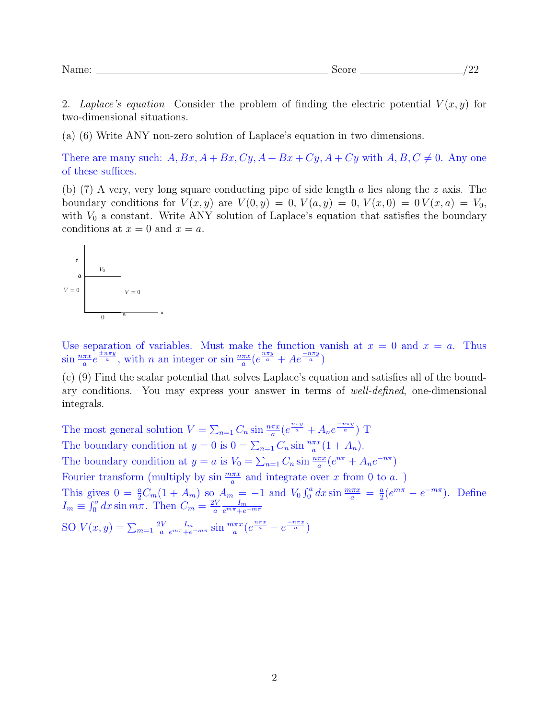2. Laplace's equation Consider the problem of finding the electric potential  $V(x, y)$  for two-dimensional situations.

(a) (6) Write ANY non-zero solution of Laplace's equation in two dimensions.

There are many such:  $A, Bx, A + Bx, Cy, A + Bx + Cy, A + Cy$  with  $A, B, C \neq 0$ . Any one of these suffices.

(b) (7) A very, very long square conducting pipe of side length a lies along the z axis. The boundary conditions for  $V(x, y)$  are  $V(0, y) = 0$ ,  $V(a, y) = 0$ ,  $V(x, 0) = 0$   $V(x, a) = V_0$ , with  $V_0$  a constant. Write ANY solution of Laplace's equation that satisfies the boundary conditions at  $x = 0$  and  $x = a$ .



Use separation of variables. Must make the function vanish at  $x = 0$  and  $x = a$ . Thus  $\sin \frac{n\pi x}{a} e^{\frac{\pm n\pi y}{a}}$ , with *n* an integer or  $\sin \frac{n\pi x}{a} (e^{\frac{n\pi y}{a}} + Ae^{\frac{-n\pi y}{a}})$ 

(c) (9) Find the scalar potential that solves Laplace's equation and satisfies all of the boundary conditions. You may express your answer in terms of well-defined, one-dimensional integrals.

The most general solution  $V = \sum_{n=1} C_n \sin \frac{n\pi x}{a} (e^{\frac{n\pi y}{a}} + A_n e^{\frac{-n\pi y}{a}})$  T The boundary condition at  $y = 0$  is  $0 = \sum_{n=1} C_n \sin \frac{n \pi x}{a} (1 + A_n)$ . The boundary condition at  $y = a$  is  $V_0 = \sum_{n=1} C_n \sin \frac{n\pi x}{a} (e^{n\pi} + A_n e^{-n\pi})$ Fourier transform (multiply by  $\sin \frac{m\pi x}{a}$  and integrate over x from 0 to a.) This gives  $0 = \frac{a}{2}C_m(1 + A_m)$  so  $A_m = -1$  and  $V_0 \int_0^a dx \sin \frac{m \pi x}{a} = \frac{a}{2}$  $\frac{a}{2}(e^{m\pi} - e^{-m\pi}).$  Define  $I_m \equiv \int_0^a dx \sin m\pi$ . Then  $C_m = \frac{2V}{a}$ a  $I_{\bm{m}}$  $e^{m\pi}+e^{-m\pi}$ 

SO  $V(x, y) = \sum_{m=1}^{\infty} \frac{2V}{a}$ a  $\frac{I_m}{e^{m\pi}+e^{-m\pi}}\sin\frac{m\pi x}{a}(e^{\frac{n\pi x}{a}}-e^{\frac{-n\pi x}{a}})$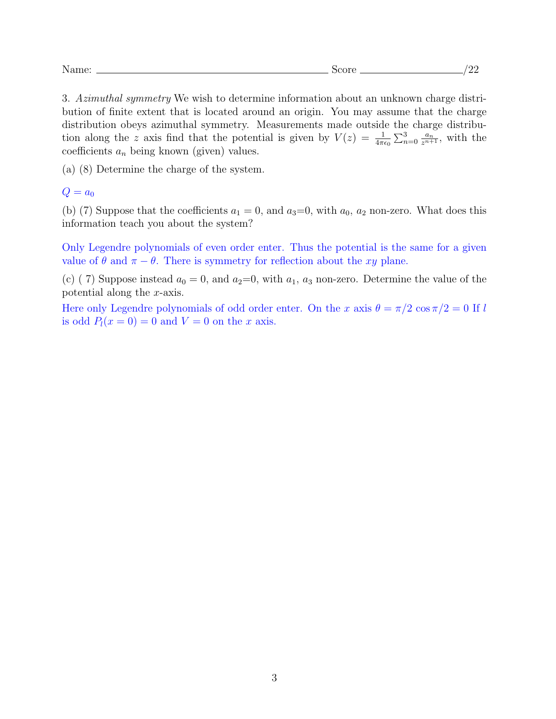3. Azimuthal symmetry We wish to determine information about an unknown charge distribution of finite extent that is located around an origin. You may assume that the charge distribution obeys azimuthal symmetry. Measurements made outside the charge distribution along the z axis find that the potential is given by  $V(z) = \frac{1}{4\pi\epsilon_0} \sum_{n=0}^3 \frac{a_n}{z^{n+1}}$ , with the coefficients  $a_n$  being known (given) values.

(a) (8) Determine the charge of the system.

 $Q = a_0$ 

(b) (7) Suppose that the coefficients  $a_1 = 0$ , and  $a_3 = 0$ , with  $a_0$ ,  $a_2$  non-zero. What does this information teach you about the system?

Only Legendre polynomials of even order enter. Thus the potential is the same for a given value of  $\theta$  and  $\pi - \theta$ . There is symmetry for reflection about the xy plane.

(c) (7) Suppose instead  $a_0 = 0$ , and  $a_2=0$ , with  $a_1$ ,  $a_3$  non-zero. Determine the value of the potential along the x-axis.

Here only Legendre polynomials of odd order enter. On the x axis  $\theta = \pi/2 \cos(\pi/2) = 0$  If l is odd  $P_l(x=0) = 0$  and  $V = 0$  on the x axis.